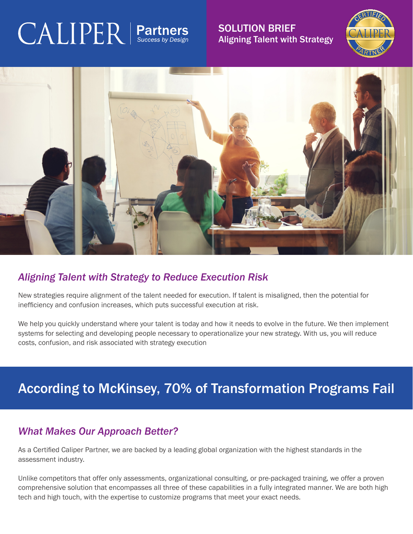# $\text{CALIPER}$  | Partners

SOLUTION BRIEF Aligning Talent with Strategy





## *Aligning Talent with Strategy to Reduce Execution Risk*

New strategies require alignment of the talent needed for execution. If talent is misaligned, then the potential for inefficiency and confusion increases, which puts successful execution at risk.

We help you quickly understand where your talent is today and how it needs to evolve in the future. We then implement systems for selecting and developing people necessary to operationalize your new strategy. With us, you will reduce costs, confusion, and risk associated with strategy execution

# According to McKinsey, 70% of Transformation Programs Fail

## *What Makes Our Approach Better?*

As a Certified Caliper Partner, we are backed by a leading global organization with the highest standards in the assessment industry.

Unlike competitors that offer only assessments, organizational consulting, or pre-packaged training, we offer a proven comprehensive solution that encompasses all three of these capabilities in a fully integrated manner. We are both high tech and high touch, with the expertise to customize programs that meet your exact needs.